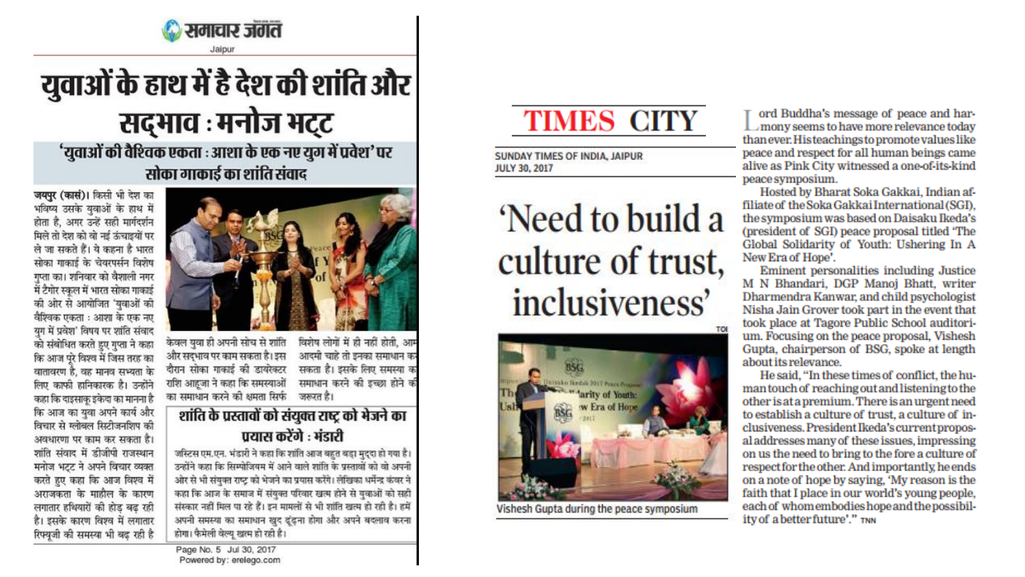

# युवाओं के हाथ में है देश की शांति और सद्भाव : मनोज भट्ट

'युवाओं की वैश्विक एकता : आशा के एक नए युग में प्रवेश' पर सोका गाकाई का शांति संवाद

जयपुर (कासं)। किसी भी देश का भविष्य उसके युवाओं के हाथ में होता है, अगर उन्हें सही मार्गदर्शन मिले तो देश को वो नई ऊंचाइयों पर ले जा सकते हैं। ये कहना है भारत सोका गाकाई के चेयरपर्सन विशेष गप्ता का। शनिवार को वैशाली नगर में टैगोर स्कूल में भारत सोका गाकाई की ओर से आयोजित 'युवाओं की वैश्विक एकता : आशा के एक नए यग में प्रवेश' विषय पर शांति संवाद को संबोधित करते हुए गुप्ता ने कहा कि आज परे विश्व में जिस तरह का वातावरण है. वह मानव सभ्यता के लिए काफी हानिकारक है। उन्होंने कहा कि दाइसाकु इकेदा का मानना है कि आज का युवा अपने कार्य और विचार से ग्लोबल सिटीजनशिप की अवधारणा पर काम कर सकता है। शांति संवाद में डीजीपी राजस्थान मनोज भट्ट ने अपने विचार व्यक्त करते हुए कहा कि आज विश्व में अराजकता के माहौल के कारण लगातार हथियारों की होड बढ़ रही है। इसके कारण विश्व में लगातार रिफ्यूजी की समस्या भी बढ़ रही है



केवल युवा ही अपनी सोच से शांति विशेष लोगों में ही नहीं होती, आम आदमी चाहे तो इनका समाधान क और सदभाव पर काम सकता है। इस दौरान सोका गाकाई की डायरेक्टर सकता है। इसके लिए समस्या क राशि आहूजा ने कहा कि समस्याओं समाधान करने की इच्छा होने क का समाधान करने की क्षमता सिर्फ जरूरत है।

शांति के प्रस्तावों को संयुक्त राष्ट्र को भेजने का पयास करेंगे : भंडारी

जस्टिस एम.एन. भंडारी ने कहा कि शांति आज बहुत बड़ा मुद्दा हो गया है। उन्होंने कहा कि सिम्पोजियम में आने वाले शांति के प्रस्तावों को वो अपनी ओर से भी संयुक्त राष्ट्र को भेजने का प्रयास करेंगे। लेखिका धर्मेन्द्र कंवर ने कहा कि आज के समाज में संयुक्त परिवार खत्म होने से युवाओं को सही संस्कार नहीं मिल पा रहे हैं। इन मामलों से भी शांति खत्म हो रही है। हमें अपनी समस्या का समाधान खुद ढूंढ़ना होगा और अपने बदलाव करना होगा। फैमेली वेल्यू खत्म हो रही है।

Page No. 5 Jul 30, 2017 Powered by: erelego.com

### **TIMES CITY**

SUNDAY TIMES OF INDIA, JAIPUR **JULY 30, 2017** 

# 'Need to build a culture of trust, inclusiveness'



Vishesh Gupta during the peace symposium

ord Buddha's message of peace and har- $\mathrel{\Box}$  mony seems to have more relevance today than ever. His teachings to promote values like peace and respect for all human beings came alive as Pink City witnessed a one-of-its-kind peace symposium.

Hosted by Bharat Soka Gakkai, Indian affiliate of the Soka Gakkai International (SGI), the symposium was based on Daisaku Ikeda's (president of SGI) peace proposal titled 'The Global Solidarity of Youth: Ushering In A New Era of Hope'.

Eminent personalities including Justice M N Bhandari, DGP Manoj Bhatt, writer Dharmendra Kanwar, and child psychologist Nisha Jain Grover took part in the event that took place at Tagore Public School auditorium. Focusing on the peace proposal, Vishesh Gupta, chairperson of BSG, spoke at length about its relevance.

He said. "In these times of conflict, the human touch of reaching out and listening to the other is at a premium. There is an urgent need to establish a culture of trust, a culture of inclusiveness. President Ikeda's current proposal addresses many of these issues, impressing on us the need to bring to the fore a culture of respect for the other. And importantly, he ends on a note of hope by saying, 'My reason is the faith that I place in our world's young people, each of whom embodies hope and the possibility of a better future'." TNN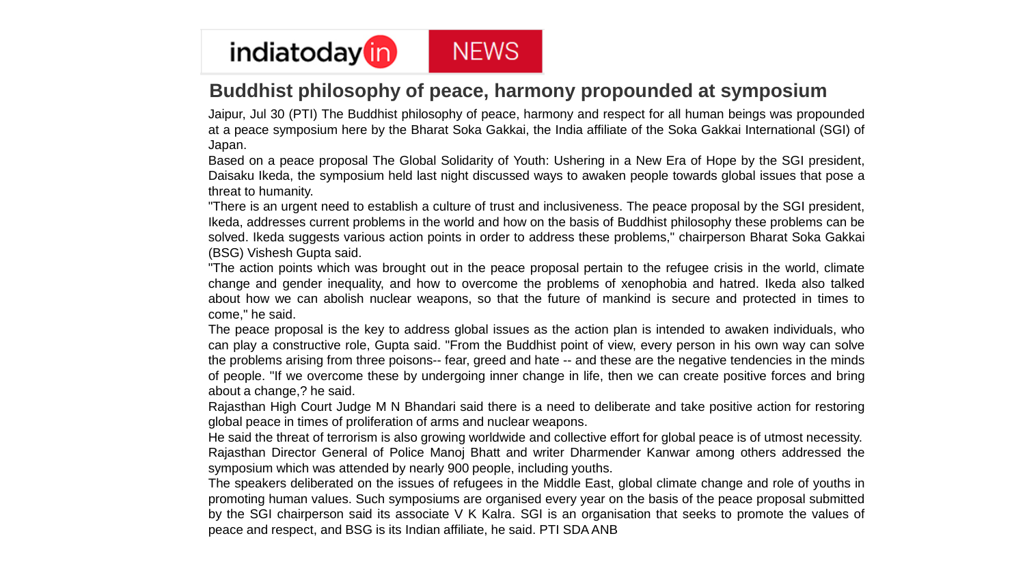

### **Buddhist philosophy of peace, harmony propounded at symposium**

Jaipur, Jul 30 (PTI) The Buddhist philosophy of peace, harmony and respect for all human beings was propounded at a peace symposium here by the Bharat Soka Gakkai, the India affiliate of the Soka Gakkai International (SGI) of Japan.

Based on a peace proposal The Global Solidarity of Youth: Ushering in a New Era of Hope by the SGI president, Daisaku Ikeda, the symposium held last night discussed ways to awaken people towards global issues that pose a threat to humanity.

"There is an urgent need to establish a culture of trust and inclusiveness. The peace proposal by the SGI president, Ikeda, addresses current problems in the world and how on the basis of Buddhist philosophy these problems can be solved. Ikeda suggests various action points in order to address these problems," chairperson Bharat Soka Gakkai (BSG) Vishesh Gupta said.

"The action points which was brought out in the peace proposal pertain to the refugee crisis in the world, climate change and gender inequality, and how to overcome the problems of xenophobia and hatred. Ikeda also talked about how we can abolish nuclear weapons, so that the future of mankind is secure and protected in times to come," he said.

The peace proposal is the key to address global issues as the action plan is intended to awaken individuals, who can play a constructive role, Gupta said. "From the Buddhist point of view, every person in his own way can solve the problems arising from three poisons-- fear, greed and hate -- and these are the negative tendencies in the minds of people. "If we overcome these by undergoing inner change in life, then we can create positive forces and bring about a change,? he said.

Rajasthan High Court Judge M N Bhandari said there is a need to deliberate and take positive action for restoring global peace in times of proliferation of arms and nuclear weapons.

He said the threat of terrorism is also growing worldwide and collective effort for global peace is of utmost necessity. Rajasthan Director General of Police Manoj Bhatt and writer Dharmender Kanwar among others addressed the symposium which was attended by nearly 900 people, including youths.

The speakers deliberated on the issues of refugees in the Middle East, global climate change and role of youths in promoting human values. Such symposiums are organised every year on the basis of the peace proposal submitted by the SGI chairperson said its associate V K Kalra. SGI is an organisation that seeks to promote the values of peace and respect, and BSG is its Indian affiliate, he said. PTI SDAANB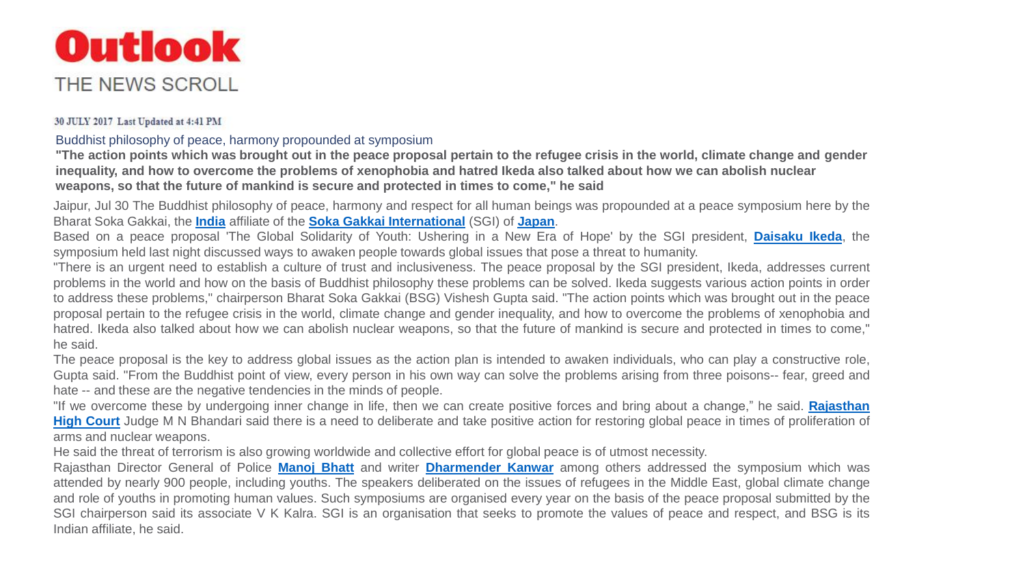

### 30 JULY 2017 Last Updated at 4:41 PM

Buddhist philosophy of peace, harmony propounded at symposium

**"The action points which was brought out in the peace proposal pertain to the refugee crisis in the world, climate change and gender inequality, and how to overcome the problems of xenophobia and hatred Ikeda also talked about how we can abolish nuclear weapons, so that the future of mankind is secure and protected in times to come," he said**

Jaipur, Jul 30 The Buddhist philosophy of peace, harmony and respect for all human beings was propounded at a peace symposium here by the Bharat Soka Gakkai, the **[India](https://www.outlookindia.com/newsscroll/topic/india/7965)** affiliate of the **Soka Gakkai [International](https://www.outlookindia.com/newsscroll/topic/soka-gakkai-international/144069)** (SGI) of **[Japan](https://www.outlookindia.com/newsscroll/topic/japan/8054)**.

Based on a peace proposal 'The Global Solidarity of Youth: Ushering in a New Era of Hope' by the SGI president, **[Daisaku](https://www.outlookindia.com/newsscroll/topic/daisaku-ikeda/157465) Ikeda**, the symposium held last night discussed ways to awaken people towards global issues that pose a threat to humanity.

"There is an urgent need to establish a culture of trust and inclusiveness. The peace proposal by the SGI president, Ikeda, addresses current problems in the world and how on the basis of Buddhist philosophy these problems can be solved. Ikeda suggests various action points in order to address these problems," chairperson Bharat Soka Gakkai (BSG) Vishesh Gupta said. "The action points which was brought out in the peace proposal pertain to the refugee crisis in the world, climate change and gender inequality, and how to overcome the problems of xenophobia and hatred. Ikeda also talked about how we can abolish nuclear weapons, so that the future of mankind is secure and protected in times to come," he said.

The peace proposal is the key to address global issues as the action plan is intended to awaken individuals, who can play a constructive role, Gupta said. "From the Buddhist point of view, every person in his own way can solve the problems arising from three poisons-- fear, greed and hate -- and these are the negative tendencies in the minds of people.

"If we overcome these by undergoing inner change in life, then we can create positive forces and bring about a change," he said. **Rajasthan High Court** Judge M N Bhandari said there is a need to deliberate and take positive action for restoring global peace in times of [proliferation](https://www.outlookindia.com/newsscroll/topic/rajasthan-high-court/18025) of arms and nuclear weapons.

He said the threat of terrorism is also growing worldwide and collective effort for global peace is of utmost necessity.

Rajasthan Director General of Police **[Manoj](https://www.outlookindia.com/newsscroll/topic/manoj-bhatt/13390) Bhatt** and writer **[Dharmender](https://www.outlookindia.com/newsscroll/topic/dharmender-kanwar/157466) Kanwar** among others addressed the symposium which was attended by nearly 900 people, including youths. The speakers deliberated on the issues of refugees in the Middle East, global climate change and role of youths in promoting human values. Such symposiums are organised every year on the basis of the peace proposal submitted by the SGI chairperson said its associate V K Kalra. SGI is an organisation that seeks to promote the values of peace and respect, and BSG is its Indian affiliate, he said.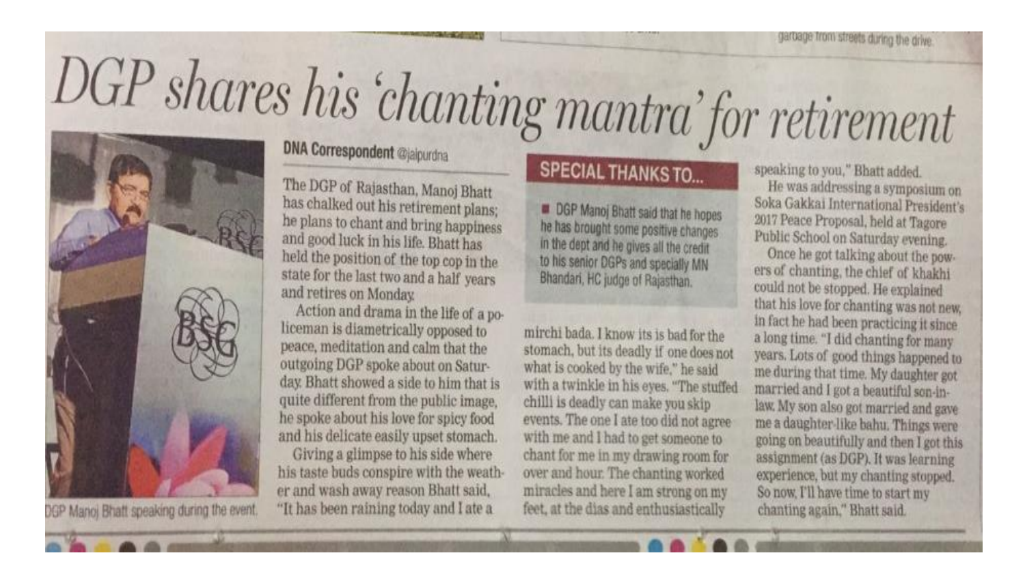# DGP shares his 'chanting mantra' for retirement



DGP Manoj Bhatt speaking during the event.

### **DNA Correspondent @jaipurdna**

The DGP of Rajasthan, Manoj Bhatt has chalked out his retirement plans; he plans to chant and bring happiness and good luck in his life. Bhatt has held the position of the top cop in the state for the last two and a half years and retires on Monday.

Action and drama in the life of a policeman is diametrically opposed to peace, meditation and calm that the outgoing DGP spoke about on Saturday. Bhatt showed a side to him that is quite different from the public image. he spoke about his love for spicy food and his delicate easily upset stomach.

Giving a glimpse to his side where his taste buds conspire with the weather and wash away reason Bhatt said, "It has been raining today and I ate a

### **SPECIAL THANKS TO...**

**DGP Manoj Bhatt said that he hopes** he has brought some positive changes in the dept and he gives all the credit to his senior DGPs and specially MN Bhandari, HC judge of Rajasthan.

mirchi bada. I know its is bad for the stomach, but its deadly if one does not what is cooked by the wife," he said with a twinkle in his eyes. "The stuffed chilli is deadly can make you skip events. The one I ate too did not agree with me and I had to get someone to chant for me in my drawing room for over and hour. The chanting worked miracles and here I am strong on my feet, at the dias and enthusiastically

speaking to you," Bhatt added.

He was addressing a symposium on Soka Gakkai International President's 2017 Peace Proposal, held at Tagore Public School on Saturday evening.

Once he got talking about the powers of chanting, the chief of khakhi could not be stopped. He explained that his love for chanting was not new. in fact he had been practicing it since a long time. "I did chanting for many years. Lots of good things happened to me during that time. My daughter got married and I got a beautiful son-inlaw. My son also got married and gave me a daughter-like bahu. Things were going on beautifully and then I got this assignment (as DGP). It was learning experience, but my chanting stopped. So now, I'll have time to start my chanting again," Bhatt said.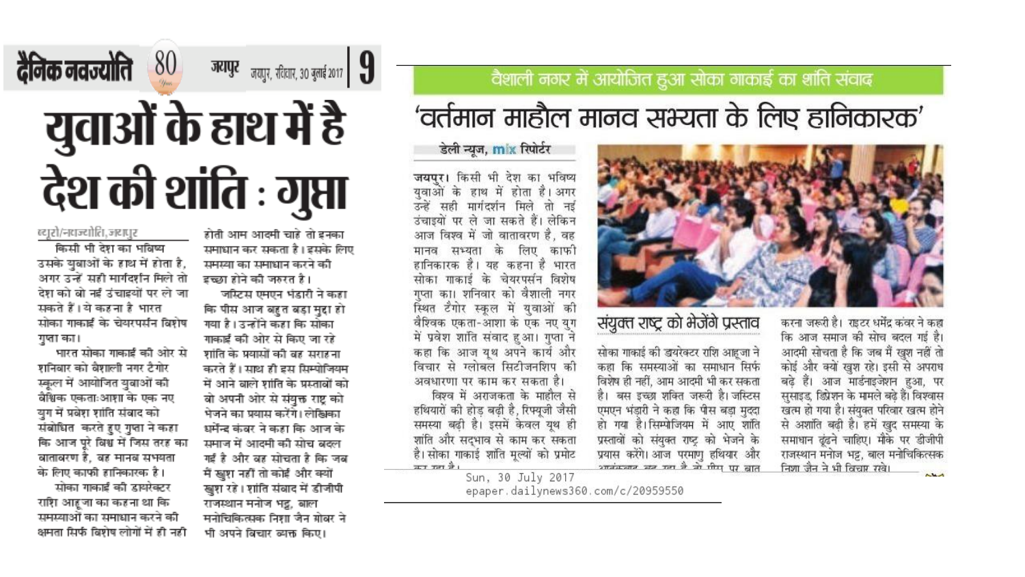## दैनिक नवज्योति 80 **जयापुर** <sub>जयपुर, रदिलार, 30 बुलाई 2017 **| 9**</sub> युवाओं के हाथ में है देश की शांति : गुप्ता

#### ब्दारो/नवन्दोति, जदापुर

किसी भी देश का भविष्य उसके युवाओं के हाथ में होता है, अगर उन्हें सही मार्गदर्शन मिले तो देश को बो नई उंचाइयों पर ले जा सकते हैं। ये कहना है भारत सोका गाकाई के चेयरपर्सन विशेष गुप्ता का।

भारत सोका गाकाई की ओर से शनिबार को बैशाली नगर टैगोर स्कूल में आयोजित युवाओं की बेश्विक एकताःआशा के एक नए युग में प्रवेश शांति संबाद को संबोधित करते हुए गुप्ता ने कहा कि आज पूरे विश्व में जिस तरह का वातावरण है, वह मानव सभयता के लिए काफी हानिकारक है।

सोका गाकाई की डायरेक्टर राशि आहूजा का कहना था कि समस्याओं का समाधान करने की क्षमता सिर्फ बिशेष लोगों में ही नही

होती आम आदमी चाहे तो इनका समाधान कर सकता है। इसके लिए समस्या का समाधान करने की इच्छा होने की जरुत है।

जस्टिस एमएन भंडारी ने कहा कि पीस आज बहुत बड़ा मुद्दा हो गया है। उन्होंने कहा कि सोका गाकाई की ओर से किए जा रहे शांति के प्रयासों की बह सराहना करते हैं। साथ ही इस सिम्पोजियम में आने बाले शांति के प्रस्ताबों को बो अपनी ओर से संयुक्त राष्ट्र को भेजने का प्रयास करेंगे। लेखिका धर्मेन्द्र कंबर ने कहा कि आज के समाज में आदमी की सोच बदल गई है और बह सोचता है कि जब मैं खुश नहीं तो कोई और क्यों खुश रहे। शांति संवाद में डीजीपी राजस्थान मनोज भट्ट, बाल मनोचिकित्सक निशा जैन ग्रोबर ने भी अपने बिचार ब्यक्त किए।

### वैशाली नगर में आयोजित हुआ सोका गाकाई का शांति संवाद

## 'वर्तमान माहौल मानव सभ्यता के लिए हानिकारक'

डेली न्यूज, mix रिपोर्टर

जयपुर। किसी भी देश का भविष्य युवाओं के हाथ में होता है। अगर उन्हें सही मार्गदर्शन मिले तो नई उंचाइयों पर ले जा सकते हैं। लेकिन आज विश्व में जो वातावरण है. वह मानव सभ्यता के लिए काफी हानिकारक है। यह कहना है भारत सोका गाकाई के चेयरपसंन विशेष गप्ता का। शनिवार को वैशाली नगर स्थित टैगोर स्कूल में युवाओं की वैश्विक एकता-आशा के एक नए युग में प्रवेश शांति संवाद हुआ। गुप्ता ने कहा कि आज यूथ अपने कार्य और विचार से ग्लोबल सिटीजनशिप की अवधारणा पर काम कर सकता है। विश्व में अराजकता के माहौल से हथियारों की होड़ बढ़ी है, रिफ्यूजी जैसी समस्या बढ़ी है। इसमें केवल यूथ ही शांति और सदभाव से काम कर सकता है। सोका गाकाई शांति मूल्यों को प्रमोट ਕਤ ਸਾ ਵੈ।



### संयुक्त राष्ट्र को भेजेंगे प्रस्ताव

सोका गाकाई की डायरेक्टर राशि आहूजा ने कहा कि समस्याओं का समाधान सिर्फ विशेष ही नहीं, आम आदमी भी कर सकता है। बस इच्छा शक्ति जरूरी है।जस्टिस एमएन भंडारी ने कहा कि पीस बड़ा मुददा हो गया है।सिम्पोजियम में आए शांति प्रस्तावों को संयुक्त राष्ट्र को भेजने के प्रयास करेंगे। आज परमाणु हथियार और<br>अपनंतन्त्रात खुद गया ये तो पीस पर बात करना जरूरी है। राइटर धर्मेंद्र कंवर ने कहा कि आज समाज की सोच बदल गई है। आदमी सोचता है कि जब मैं खूश नहीं तो कोई और क्यों खुश रहे। इसी से अपराध बढ़े हैं। आज मार्डनाइजेशन हुआ, पर सुसाइड, डिप्रेशन के मामले बढ़े हैं। विश्वास खत्म हो गया है। संयुक्त परिवार खत्म होने से अशांति बढ़ी है। हमें खुद समस्या के समाधान ढूंढने चाहिए। मौके पर डीजीपी राजस्थान मनोज भट्ट, बाल मनोचिकित्सक निशा जैन ने भी विचार रखे।  $\sim$ 

Sun, 30 July 2017 epaper.dailynews360.com/c/20959550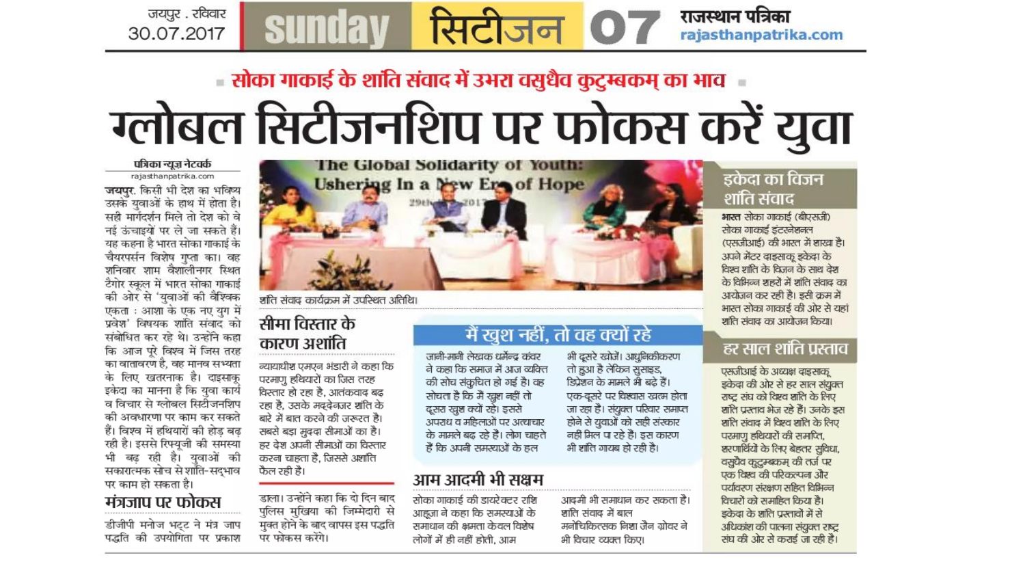# ा सोका गाकाई के शांति संवाद में उभरा वसुधैव कुटुम्बकम् का भाव ग्लोबल सिटीजनशिप पर फोकस करें युवा

सिटीजन 07

#### पत्रिका न्यूज़ नेटवर्क

जयपुर . रविवार

30.07.2017

rajasthanpatrika.com

जयपुर. किसी भी देश का भविष्य उसके युवाओं के हाथ में होता है। सही मार्गेदर्शन मिले तो देश को वे नई ऊंचाइयों पर ले जा सकते हैं। यह कहना है भारत सोका गाकाई के चैयरपर्सन विशेष गुप्ता का। वह शनिवार शाम वैशालीनगर स्थित टैगोर स्कूल में भारत सोका गाकाई की ओर से 'युवाओं की वैश्विक एकता : आशा के एक नए युग में प्रवेश' विषयक शांति संवाद को संबोधित कर रहे थे। उन्होंने कहा कि आज पूरे विश्व में जिस तरह का वातावरण है, वह मानव सभ्यता के लिए खतरनाक है। दाइसाकू इकेदा का मानना है कि युवा कार्य व विचार से ग्लोबल सिटोंजनशिप की अवधारणा पर काम कर सकते हैं। विश्व में हथियारों की होड बढ रही है। इससे रिफ्यूजी की समस्या भी बढ़ रही है। युवाओं की सकारात्मक सोच से शांति-सद्भाव पर काम हो सकता है।

### मंत्रजाप पर फोकस

डीजीपी मनोज भट्ट ने मंत्र जाप पद्धति की उपयोगिता पर प्रकाश



शांति संवाद कार्यक्रम में उपस्थित अतिथि।

sunday

### सीमा विस्तार के कारण अशांति

न्यायाधीश एमएन भंडारी ने कहा कि परमाणु हथियारों का जिस तरह विस्तार हो रहा है. आतंकवाद बढ रहा है. उसके मददेनज़र शांति के बारे में बात करने की जरूरत है। सबसे बड़ा मुददा सीमाओं का है। हर देश अपनी सीमाओं का विस्तार करना चाहता है. जिससे अशांति फैल रही है।

डाला। उन्होंने कहा कि दो दिन बाद पुलिस मुखिया की जिम्मेदारी से मुक्त होने के बाद वापस इस पद्धति पर फोकस करेंगे।

### मैं खुश नहीं, तो वह क्यों रहे

जानी-मानी लेखक धर्मेन्द्र कंवर ने कहा कि समाज में आज व्यक्ति की सोच संकुचित हो गई है। वह सोचता है कि मैं खुश नहीं तो दूसरा खुश क्यों रहे। इससे अपराध व महिलाओं पर अत्याचार के मामले बढ़ रहे हैं। लोग चाहते हैं कि अपनी समस्याओं के हल

### आम आदमी भी सक्षम

सोका गाकाई की डायरेक्टर राशि आहजा ने कहा कि समस्याओं के समाधान की क्षमता केवल विशेष लोगों में ही नहीं होती. आम

भी दूसरे खोजें। आधुनिकीकरण तो हुआ है लेकिन सुसाइड, डिप्रेशन के मामले भी बढ़े हैं। एक-दूसरे पर विश्वास खत्म होता जा रहा है। संयुक्त परिवार समाप्त होने से युवाओं को सही संस्कार नहीं मिल पा रहे हैं। इस कारण भी शांति गायब हो रही है।

### आदमी भी समाधान कर सकता है। शांति संवाद में बाल मनोचिकित्सक निशा जैन ग्रोवर ने भी विचार व्यक्त किए।

### इकेदा का विजन शांति संवाद

राजस्थान पत्रिका

rajasthanpatrika.com

भारत सोका गाकाई (बीएसजी) सोका गाकाई इंटरनेशनल (एसजीआई) की भारत में शाखा है। अपने मेंटर दाइसाकू इकेदा के विश्व शांति के विजन के साथ देश के विभिन्न शहरों में शांति संवाद का आयोजन कर रही है। इसी क्रम में भारत सोका गाकाई की ओर से यहां शांति संवाद का आयोजन किया।

### हर साल शांति प्रस्ताव

एसजीआई के अध्यक्ष दाइसाक् इकेदा की ओर से हर साल संयुक्त राष्ट संघ को दिएव शांति के लिए शांति प्रस्ताव भेज रहे हैं। उनके इस शांति संवाद में दिश्व शांति के लिए परमाणु हथियारों की समाप्ति, शरणार्थियों के लिए बेहतर सुविधा, वसुधैव कुटुम्ब्कम् की तर्ज पर एक दिस्व की परिकल्पना और पर्यावरण संरक्षण सहित विभिन्न विचारों को समाहित किया है। डकेदा के शांति प्रस्तावों में से अधिकांश की पालना संयुक्त राष्ट्र संघ की ओर से कराई जा रही है।